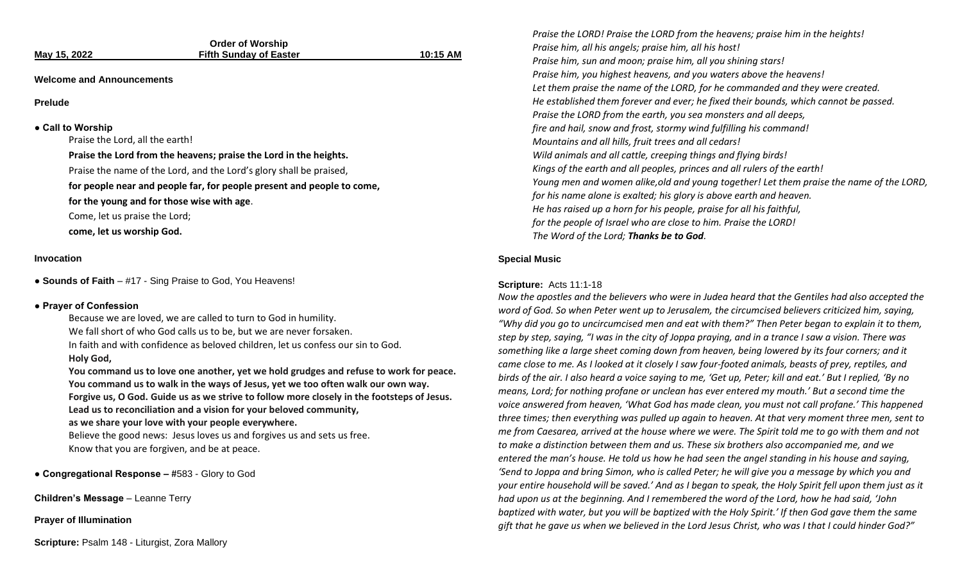| May 15, 2022                                               | <b>Order of Worship</b><br><b>Fifth Sunday of Easter</b>               | 10:15 AM |
|------------------------------------------------------------|------------------------------------------------------------------------|----------|
|                                                            |                                                                        |          |
| <b>Welcome and Announcements</b>                           |                                                                        |          |
| <b>Prelude</b>                                             |                                                                        |          |
| • Call to Worship                                          |                                                                        |          |
| Praise the Lord, all the earth!                            |                                                                        |          |
|                                                            | Praise the Lord from the heavens; praise the Lord in the heights.      |          |
|                                                            | Praise the name of the Lord, and the Lord's glory shall be praised,    |          |
|                                                            | for people near and people far, for people present and people to come, |          |
| for the young and for those wise with age.                 |                                                                        |          |
| Come, let us praise the Lord;                              |                                                                        |          |
| come, let us worship God.                                  |                                                                        |          |
| <b>Invocation</b>                                          |                                                                        |          |
| • Sounds of Faith - #17 - Sing Praise to God, You Heavens! |                                                                        |          |

#### **● Prayer of Confession**

Because we are loved, we are called to turn to God in humility.

We fall short of who God calls us to be, but we are never forsaken.

In faith and with confidence as beloved children, let us confess our sin to God. **Holy God,** 

**You command us to love one another, yet we hold grudges and refuse to work for peace. You command us to walk in the ways of Jesus, yet we too often walk our own way. Forgive us, O God. Guide us as we strive to follow more closely in the footsteps of Jesus. Lead us to reconciliation and a vision for your beloved community, as we share your love with your people everywhere.**

Believe the good news: Jesus loves us and forgives us and sets us free. Know that you are forgiven, and be at peace.

**● Congregational Response –** #583 - Glory to God

**Children's Message** – Leanne Terry

**Prayer of Illumination**

**Scripture:** Psalm 148 - Liturgist, Zora Mallory

*Praise the LORD! Praise the LORD from the heavens; praise him in the heights! Praise him, all his angels; praise him, all his host! Praise him, sun and moon; praise him, all you shining stars! Praise him, you highest heavens, and you waters above the heavens! Let them praise the name of the LORD, for he commanded and they were created. He established them forever and ever; he fixed their bounds, which cannot be passed. Praise the LORD from the earth, you sea monsters and all deeps, fire and hail, snow and frost, stormy wind fulfilling his command! Mountains and all hills, fruit trees and all cedars! Wild animals and all cattle, creeping things and flying birds! Kings of the earth and all peoples, princes and all rulers of the earth! Young men and women alike,old and young together! Let them praise the name of the LORD, for his name alone is exalted; his glory is above earth and heaven. He has raised up a horn for his people, praise for all his faithful, for the people of Israel who are close to him. Praise the LORD! The Word of the Lord; Thanks be to God.* 

## **Special Music**

## **Scripture:** Acts 11:1-18

*Now the apostles and the believers who were in Judea heard that the Gentiles had also accepted the word of God. So when Peter went up to Jerusalem, the circumcised believers criticized him, saying, "Why did you go to uncircumcised men and eat with them?" Then Peter began to explain it to them, step by step, saying, "I was in the city of Joppa praying, and in a trance I saw a vision. There was something like a large sheet coming down from heaven, being lowered by its four corners; and it came close to me. As I looked at it closely I saw four-footed animals, beasts of prey, reptiles, and birds of the air. I also heard a voice saying to me, 'Get up, Peter; kill and eat.' But I replied, 'By no means, Lord; for nothing profane or unclean has ever entered my mouth.' But a second time the voice answered from heaven, 'What God has made clean, you must not call profane.' This happened three times; then everything was pulled up again to heaven. At that very moment three men, sent to me from Caesarea, arrived at the house where we were. The Spirit told me to go with them and not to make a distinction between them and us. These six brothers also accompanied me, and we entered the man's house. He told us how he had seen the angel standing in his house and saying, 'Send to Joppa and bring Simon, who is called Peter; he will give you a message by which you and your entire household will be saved.' And as I began to speak, the Holy Spirit fell upon them just as it had upon us at the beginning. And I remembered the word of the Lord, how he had said, 'John baptized with water, but you will be baptized with the Holy Spirit.' If then God gave them the same gift that he gave us when we believed in the Lord Jesus Christ, who was I that I could hinder God?"*